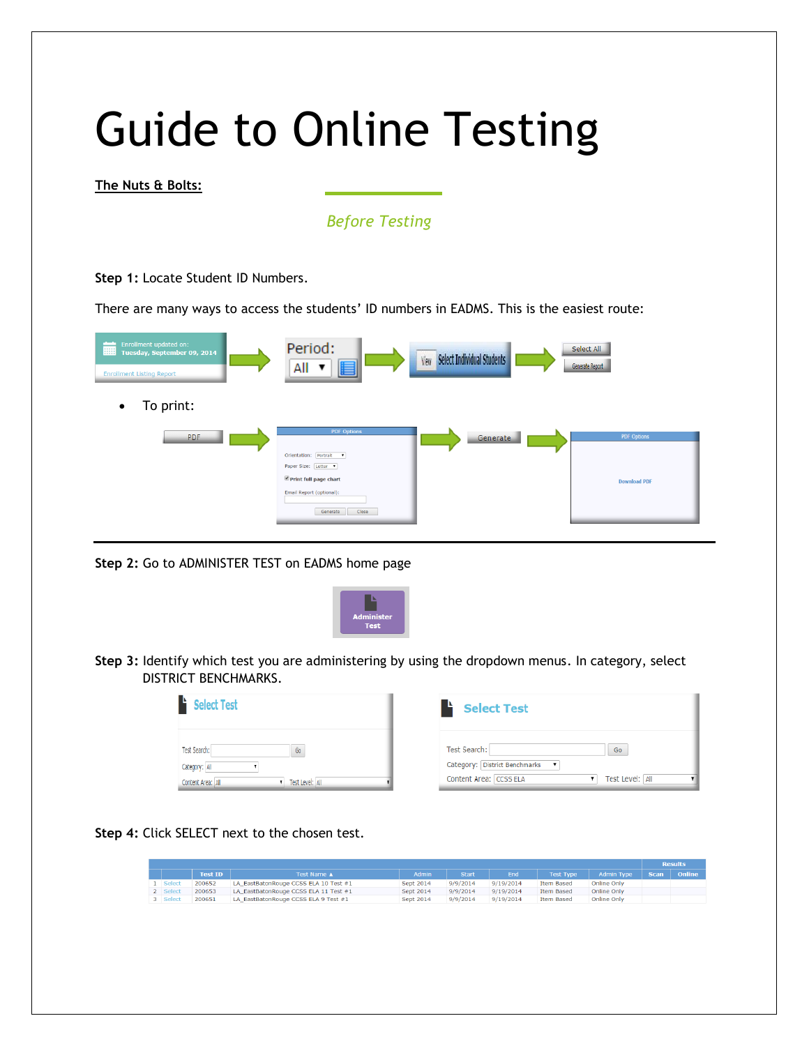# Guide to Online Testing

**The Nuts & Bolts:**

## *Before Testing*

**Step 1:** Locate Student ID Numbers.

There are many ways to access the students' ID numbers in EADMS. This is the easiest route:

| Enrollment updated on:<br>疅<br>Tuesday, September 09, 2014<br><b>Enrollment Listing Report</b> | Period:<br>E<br>All                                                                                                                           | Select Individual Students<br>View | Select All<br>Generate Report             |
|------------------------------------------------------------------------------------------------|-----------------------------------------------------------------------------------------------------------------------------------------------|------------------------------------|-------------------------------------------|
| To print:<br>$\bullet$                                                                         |                                                                                                                                               |                                    |                                           |
| <b>PDF</b>                                                                                     | <b>PDF Options</b><br>Orientation: Portrait v<br>Paper Size: Letter<br>Print full page chart<br>Email Report (optional):<br>Close<br>Generate | Generate                           | <b>PDF Options</b><br><b>Download PDF</b> |

**Step 2:** Go to ADMINISTER TEST on EADMS home page



**Step 3:** Identify which test you are administering by using the dropdown menus. In category, select DISTRICT BENCHMARKS.

| <b>Select Test</b>                                    | <b>Select Test</b>                                                                 |
|-------------------------------------------------------|------------------------------------------------------------------------------------|
| Test Search:<br>Go                                    | Test Search:<br>Go                                                                 |
| Category: All<br>Test Level: All<br>Content Area: All | Category: District Benchmarks<br>$\;$<br>Content Area: CCSS ELA<br>Test Level: All |

**Step 4:** Click SELECT next to the chosen test.

|          |                |                                       |           |              |           |                   |                   |             | <b>Results</b> |
|----------|----------------|---------------------------------------|-----------|--------------|-----------|-------------------|-------------------|-------------|----------------|
|          | <b>Test ID</b> | Test Name ▲                           | Admin     | <b>Start</b> | End       | Test Type         | <b>Admin Type</b> | <b>Scan</b> | Online         |
| 1 Select | 200652         | LA_EastBatonRouge CCSS ELA 10 Test #1 | Sept 2014 | 9/9/2014     | 9/19/2014 | <b>Item Based</b> | Online Only       |             |                |
| 2 Select | 200653         | LA_EastBatonRouge CCSS ELA 11 Test #1 | Sept 2014 | 9/9/2014     | 9/19/2014 | <b>Item Based</b> | Online Only       |             |                |
| 3 Select | 200651         | LA_EastBatonRouge CCSS ELA 9 Test #1  | Sept 2014 | 9/9/2014     | 9/19/2014 | <b>Item Based</b> | Online Only       |             |                |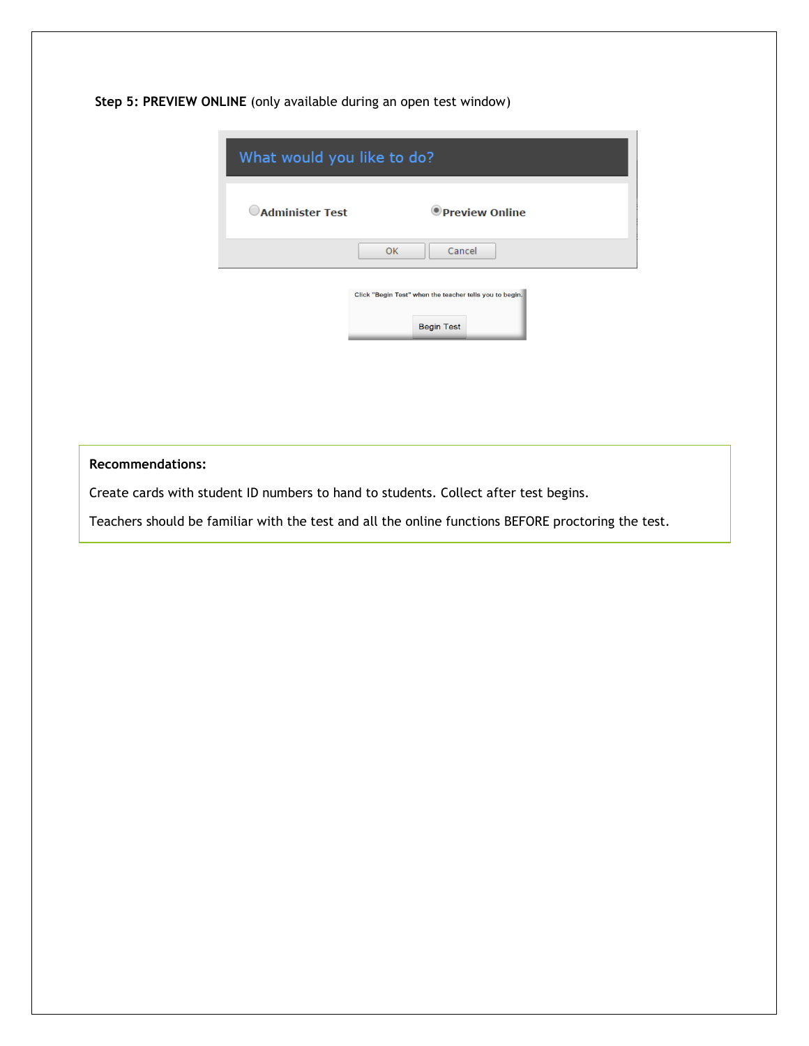**Step 5: PREVIEW ONLINE** (only available during an open test window)

| What would you like to do? |                                                                              |  |
|----------------------------|------------------------------------------------------------------------------|--|
| <b>CAdminister Test</b>    | <b>O</b> Preview Online                                                      |  |
|                            | Cancel<br><b>OK</b>                                                          |  |
|                            | Click "Begin Test" when the teacher tells you to begin.<br><b>Begin Test</b> |  |

#### **Recommendations:**

Create cards with student ID numbers to hand to students. Collect after test begins.

Teachers should be familiar with the test and all the online functions BEFORE proctoring the test.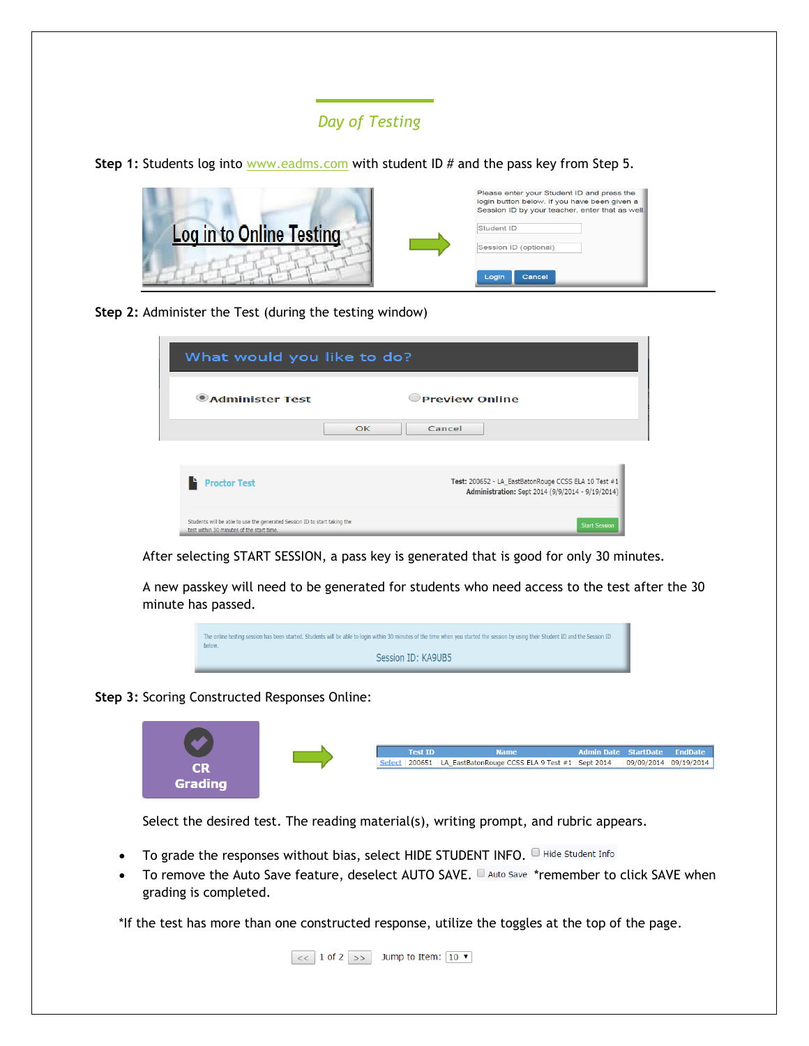## *Day of Testing*

**Step 1:** Students log into [www.eadms.com](http://www.eadms.com/) with student ID # and the pass key from Step 5.



**Step 2:** Administer the Test (during the testing window)

| What would you like to do?                                                                                             |                                                                                                          |  |
|------------------------------------------------------------------------------------------------------------------------|----------------------------------------------------------------------------------------------------------|--|
| <b>CAdminister Test</b>                                                                                                | <b>Preview Online</b>                                                                                    |  |
| OK                                                                                                                     | Cancel                                                                                                   |  |
|                                                                                                                        |                                                                                                          |  |
| <b>Proctor Test</b>                                                                                                    | Test: 200652 - LA EastBatonRouge CCSS ELA 10 Test #1<br>Administration: Sept 2014 (9/9/2014 - 9/19/2014) |  |
| Students will be able to use the generated Session ID to start taking the<br>test within 30 minutes of the start time. | <b>Start Session</b>                                                                                     |  |

After selecting START SESSION, a pass key is generated that is good for only 30 minutes.

A new passkey will need to be generated for students who need access to the test after the 30 minute has passed.



**Step 3:** Scoring Constructed Responses Online:



Select the desired test. The reading material(s), writing prompt, and rubric appears.

- To grade the responses without bias, select HIDE STUDENT INFO. I Hide Student Info
- To remove the Auto Save feature, deselect AUTO SAVE.  $\Box$  Auto Save \*remember to click SAVE when grading is completed.

\*If the test has more than one constructed response, utilize the toggles at the top of the page.